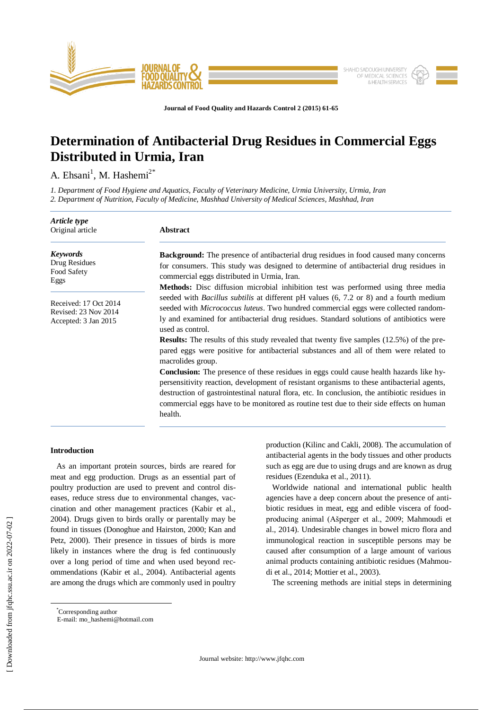

**Journal of Food Quality and Hazards Control 2 (2015) 61-65**

# **Determination of Antibacterial Drug Residues in Commercial Eggs Distributed in Urmia, Iran**

A. Ehsani<sup>1</sup>, M. Hashemi<sup>2\*</sup>

*1. Department of Food Hygiene and Aquatics, Faculty of Veterinary Medicine, Urmia University, Urmia, Iran 2. Department of Nutrition, Faculty of Medicine, Mashhad University of Medical Sciences, Mashhad, Iran*

| Article type<br>Original article                                      | <b>Abstract</b>                                                                                                                                                                                                                                                                                                                                                                                                                                                                                |  |  |
|-----------------------------------------------------------------------|------------------------------------------------------------------------------------------------------------------------------------------------------------------------------------------------------------------------------------------------------------------------------------------------------------------------------------------------------------------------------------------------------------------------------------------------------------------------------------------------|--|--|
| <b>Keywords</b><br>Drug Residues<br>Food Safety<br>Eggs               | <b>Background:</b> The presence of antibacterial drug residues in food caused many concerns<br>for consumers. This study was designed to determine of antibacterial drug residues in<br>commercial eggs distributed in Urmia, Iran.<br><b>Methods:</b> Disc diffusion microbial inhibition test was performed using three media                                                                                                                                                                |  |  |
| Received: 17 Oct 2014<br>Revised: 23 Nov 2014<br>Accepted: 3 Jan 2015 | seeded with <i>Bacillus subtilis</i> at different pH values (6, 7.2 or 8) and a fourth medium<br>seeded with Micrococcus luteus. Two hundred commercial eggs were collected random-<br>ly and examined for antibacterial drug residues. Standard solutions of antibiotics were<br>used as control.<br><b>Results:</b> The results of this study revealed that twenty five samples (12.5%) of the pre-<br>pared eggs were positive for antibacterial substances and all of them were related to |  |  |
|                                                                       | macrolides group.<br><b>Conclusion:</b> The presence of these residues in eggs could cause health hazards like hy-<br>persensitivity reaction, development of resistant organisms to these antibacterial agents,<br>destruction of gastrointestinal natural flora, etc. In conclusion, the antibiotic residues in<br>commercial eggs have to be monitored as routine test due to their side effects on human<br>health.                                                                        |  |  |

## **Introduction**

 As an important protein sources, birds are reared for meat and egg production. Drugs as an essential part of poultry production are used to prevent and control diseases, reduce stress due to environmental changes, vaccination and other management practices (Kabir et al., 2004). Drugs given to birds orally or parentally may be found in tissues (Donoghue and Hairston, 2000; Kan and Petz, 2000). Their presence in tissues of birds is more likely in instances where the drug is fed continuously over a long period of time and when used beyond recommendations (Kabir et al., 2004). Antibacterial agents are among the drugs which are commonly used in poultry production (Kilinc and Cakli, 2008). The accumulation of antibacterial agents in the body tissues and other products such as egg are due to using drugs and are known as drug residues (Ezenduka et al., 2011).

 Worldwide national and international public health agencies have a deep concern about the presence of antibiotic residues in meat, egg and edible viscera of foodproducing animal (Ašperger et al., 2009; Mahmoudi et al., 2014). Undesirable changes in bowel micro flora and immunological reaction in susceptible persons may be caused after consumption of a large amount of various animal products containing antibiotic residues (Mahmoudi et al., 2014; Mottier et al., 2003).

The screening methods are initial steps in determining

 $\overline{a}$ \*Corresponding author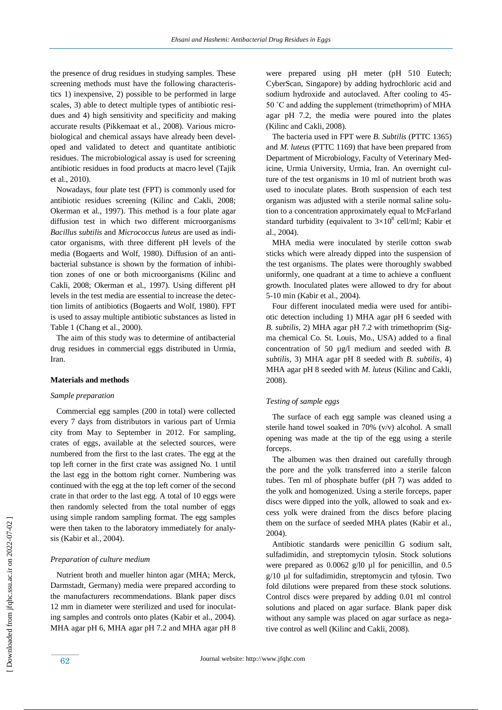the presence of drug residues in studying samples. These screening methods must have the following characteristics 1) inexpensive, 2) possible to be performed in large scales, 3) able to detect multiple types of antibiotic residues and 4) high sensitivity and specificity and making accurate results (Pikkemaat et al., 2008). Various microbiological and chemical assays have already been developed and validated to detect and quantitate antibiotic residues. The microbiological assay is used for screening antibiotic residues in food products at macro level (Tajik et al., 2010).

 Nowadays, four plate test (FPT) is commonly used for antibiotic residues screening (Kilinc and Cakli, 2008; Okerman et al., 1997). This method is a four plate agar diffusion test in which two different microorganisms *Bacillus subtilis* and *Micrococcus luteus* are used as indicator organisms, with three different pH levels of the media (Bogaerts and Wolf, 1980). Diffusion of an antibacterial substance is shown by the formation of inhibition zones of one or both microorganisms (Kilinc and Cakli, 2008; Okerman et al., 1997). Using different pH levels in the test media are essential to increase the detection limits of antibiotics (Bogaerts and Wolf, 1980). FPT is used to assay multiple antibiotic substances as listed in Table 1 (Chang et al., 2000).

 The aim of this study was to determine of antibacterial drug residues in commercial eggs distributed in Urmia, Iran.

#### **Materials and methods**

### *Sample preparation*

 Commercial egg samples (200 in total) were collected every 7 days from distributors in various part of Urmia city from May to September in 2012. For sampling, crates of eggs, available at the selected sources, were numbered from the first to the last crates. The egg at the top left corner in the first crate was assigned No. 1 until the last egg in the bottom right corner. Numbering was continued with the egg at the top left corner of the second crate in that order to the last egg. A total of 10 eggs were then randomly selected from the total number of eggs using simple random sampling format. The egg samples were then taken to the laboratory immediately for analysis (Kabir et al., 2004).

#### *Preparation of culture medium*

 Nutrient broth and mueller hinton agar (MHA; Merck, Darmstadt, Germany) media were prepared according to the manufacturers recommendations. Blank paper discs 12 mm in diameter were sterilized and used for inoculating samples and controls onto plates (Kabir et al., 2004). MHA agar pH 6, MHA agar pH 7.2 and MHA agar pH 8 were prepared using pH meter (pH 510 Eutech; CyberScan, Singapore) by adding hydrochloric acid and sodium hydroxide and autoclaved. After cooling to 45- 50 ˚C and adding the supplement (trimethoprim) of MHA agar pH 7.2, the media were poured into the plates (Kilinc and Cakli, 2008).

 The bacteria used in FPT were *B. Subtilis* (PTTC 1365) and *M. luteus* (PTTC 1169) that have been prepared from Department of Microbiology, Faculty of Veterinary Medicine, Urmia University, Urmia, Iran. An overnight culture of the test organisms in 10 ml of nutrient broth was used to inoculate plates. Broth suspension of each test organism was adjusted with a sterile normal saline solution to a concentration approximately equal to McFarland standard turbidity (equivalent to  $3\times10^8$  cell/ml; Kabir et al., 2004).

 MHA media were inoculated by sterile cotton swab sticks which were already dipped into the suspension of the test organisms. The plates were thoroughly swabbed uniformly, one quadrant at a time to achieve a confluent growth. Inoculated plates were allowed to dry for about 5-10 min (Kabir et al., 2004).

 Four different inoculated media were used for antibiotic detection including 1) MHA agar pH 6 seeded with *B. subtilis*, 2) MHA agar pH 7.2 with trimethoprim (Sigma chemical Co. St. Louis, Mo., USA) added to a final concentration of 50 µg/l medium and seeded with *B. subtilis*, 3) MHA agar pH 8 seeded with *B. subtilis*, 4) MHA agar pH 8 seeded with *M. luteus* (Kilinc and Cakli, 2008).

## *Testing of sample eggs*

 The surface of each egg sample was cleaned using a sterile hand towel soaked in 70% (v/v) alcohol. A small opening was made at the tip of the egg using a sterile forceps.

 The albumen was then drained out carefully through the pore and the yolk transferred into a sterile falcon tubes. Ten ml of phosphate buffer (pH 7) was added to the yolk and homogenized. Using a sterile forceps, paper discs were dipped into the yolk, allowed to soak and excess yolk were drained from the discs before placing them on the surface of seeded MHA plates (Kabir et al., 2004).

 Antibiotic standards were penicillin G sodium salt, sulfadimidin, and streptomycin tylosin. Stock solutions were prepared as  $0.0062$  g/l0 µl for penicillin, and 0.5 g/10 µl for sulfadimidin, streptomycin and tylosin. Two fold dilutions were prepared from these stock solutions. Control discs were prepared by adding 0.01 ml control solutions and placed on agar surface. Blank paper disk without any sample was placed on agar surface as negative control as well (Kilinc and Cakli, 2008).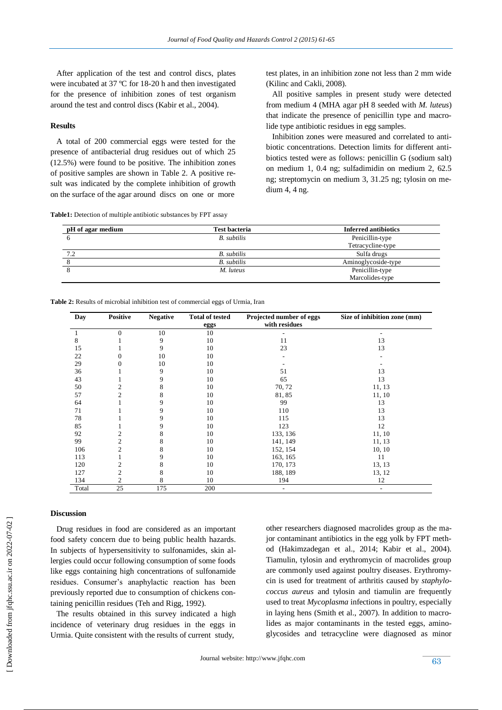After application of the test and control discs, plates were incubated at 37 ºC for 18-20 h and then investigated for the presence of inhibition zones of test organism around the test and control discs (Kabir et al., 2004).

## **Results**

 A total of 200 commercial eggs were tested for the presence of antibacterial drug residues out of which 25 (12.5%) were found to be positive. The inhibition zones of positive samples are shown in Table 2. A positive result was indicated by the complete inhibition of growth on the surface of the agar around discs on one or more

**Table1:** Detection of multiple antibiotic substances by FPT assay

test plates, in an inhibition zone not less than 2 mm wide (Kilinc and Cakli, 2008).

 All positive samples in present study were detected from medium 4 (MHA agar pH 8 seeded with *M. luteus*) that indicate the presence of penicillin type and macrolide type antibiotic residues in egg samples.

 Inhibition zones were measured and correlated to antibiotic concentrations. Detection limits for different antibiotics tested were as follows: penicillin G (sodium salt) on medium 1, 0.4 ng; sulfadimidin on medium 2, 62.5 ng; streptomycin on medium 3, 31.25 ng; tylosin on medium 4, 4 ng.

| pH of agar medium | <b>Test bacteria</b> | <b>Inferred antibiotics</b> |
|-------------------|----------------------|-----------------------------|
|                   | <b>B.</b> subtilis   | Penicillin-type             |
|                   |                      | Tetracycline-type           |
| 7.2               | <b>B.</b> subtilis   | Sulfa drugs                 |
|                   | <b>B.</b> subtilis   | Aminoglycoside-type         |
|                   | M. luteus            | Penicillin-type             |
|                   |                      | Marcolides-type             |

**Table 2:** Results of microbial inhibition test of commercial eggs of Urmia, Iran

| Day   | <b>Positive</b> | <b>Negative</b> | <b>Total of tested</b> | Projected number of eggs | Size of inhibition zone (mm) |
|-------|-----------------|-----------------|------------------------|--------------------------|------------------------------|
|       |                 |                 | eggs                   | with residues            |                              |
|       | $\mathbf{0}$    | 10              | 10                     |                          |                              |
| 8     |                 | 9               | 10                     | 11                       | 13                           |
| 15    |                 | 9               | 10                     | 23                       | 13                           |
| 22    | 0               | 10              | 10                     |                          |                              |
| 29    | $\Omega$        | 10              | 10                     |                          |                              |
| 36    |                 | 9               | 10                     | 51                       | 13                           |
| 43    |                 | 9               | 10                     | 65                       | 13                           |
| 50    | 2               | 8               | 10                     | 70, 72                   | 11, 13                       |
| 57    | 2               | 8               | 10                     | 81,85                    | 11, 10                       |
| 64    |                 | 9               | 10                     | 99                       | 13                           |
| 71    |                 | Q               | 10                     | 110                      | 13                           |
| 78    |                 | 9               | 10                     | 115                      | 13                           |
| 85    |                 |                 | 10                     | 123                      | 12                           |
| 92    | 2               |                 | 10                     | 133, 136                 | 11, 10                       |
| 99    | $\overline{c}$  | 8               | 10                     | 141, 149                 | 11, 13                       |
| 106   | $\overline{c}$  | 8               | 10                     | 152, 154                 | 10, 10                       |
| 113   |                 | Q               | 10                     | 163, 165                 | 11                           |
| 120   | 2               |                 | 10                     | 170, 173                 | 13, 13                       |
| 127   | 2               | 8               | 10                     | 188, 189                 | 13, 12                       |
| 134   | 2               | 8               | 10                     | 194                      | 12                           |
| Total | 25              | 175             | 200                    | $\overline{\phantom{0}}$ | $\overline{\phantom{a}}$     |

## **Discussion**

 Drug residues in food are considered as an important food safety concern due to being public health hazards. In subjects of hypersensitivity to sulfonamides, skin allergies could occur following consumption of some foods like eggs containing high concentrations of sulfonamide residues. Consumer's anaphylactic reaction has been previously reported due to consumption of chickens containing penicillin residues (Teh and Rigg, 1992).

 The results obtained in this survey indicated a high incidence of veterinary drug residues in the eggs in Urmia. Quite consistent with the results of current study,

other researchers diagnosed macrolides group as the major contaminant antibiotics in the egg yolk by FPT method (Hakimzadegan et al., 2014; Kabir et al., 2004). Tiamulin, tylosin and erythromycin of macrolides group are commonly used against poultry diseases. Erythromycin is used for treatment of arthritis caused by *staphylococcus aureus* and tylosin and tiamulin are frequently used to treat *Mycoplasma* infections in poultry, especially in laying hens (Smith et al., 2007). In addition to macrolides as major contaminants in the tested eggs, aminoglycosides and tetracycline were diagnosed as minor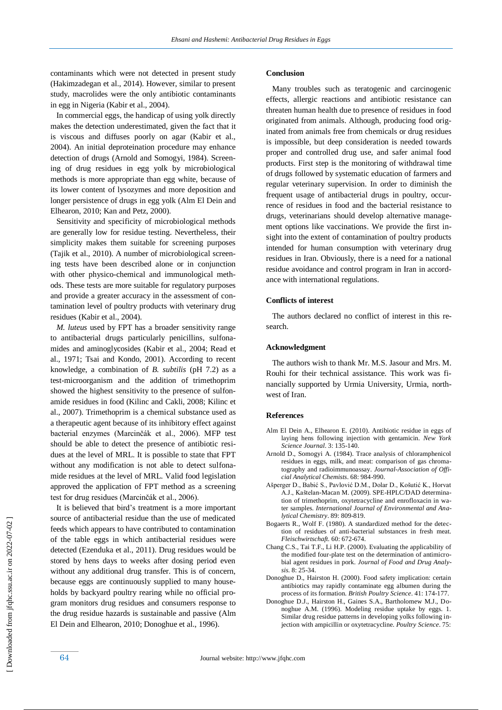contaminants which were not detected in present study (Hakimzadegan et al., 2014). However, similar to present study, macrolides were the only antibiotic contaminants in egg in Nigeria (Kabir et al., 2004).

 In commercial eggs, the handicap of using yolk directly makes the detection underestimated, given the fact that it is viscous and diffuses poorly on agar (Kabir et al., 2004). An initial deproteination procedure may enhance detection of drugs (Arnold and Somogyi, 1984). Screening of drug residues in egg yolk by microbiological methods is more appropriate than egg white, because of its lower content of lysozymes and more deposition and longer persistence of drugs in egg yolk (Alm El Dein and Elhearon, 2010; Kan and Petz, 2000).

 Sensitivity and specificity of microbiological methods are generally low for residue testing. Nevertheless, their simplicity makes them suitable for screening purposes (Tajik et al., 2010). A number of microbiological screening tests have been described alone or in conjunction with other physico-chemical and immunological methods. These tests are more suitable for regulatory purposes and provide a greater accuracy in the assessment of contamination level of poultry products with veterinary drug residues (Kabir et al., 2004).

 *M. luteus* used by FPT has a broader sensitivity range to antibacterial drugs particularly penicillins, sulfonamides and aminoglycosides (Kabir et al., 2004; Read et al., 1971; Tsai and Kondo, 2001). According to recent knowledge, a combination of *B. subtilis* (pH 7.2) as a test-microorganism and the addition of trimethoprim showed the highest sensitivity to the presence of sulfonamide residues in food (Kilinc and Cakli, 2008; Kilinc et al., 2007). Trimethoprim is a chemical substance used as a therapeutic agent because of its inhibitory effect against bacterial enzymes (Marcinčák et al., 2006). MFP test should be able to detect the presence of antibiotic residues at the level of MRL. It is possible to state that FPT without any modification is not able to detect sulfonamide residues at the level of MRL. Valid food legislation approved the application of FPT method as a screening test for drug residues (Marcinčák et al., 2006).

 It is believed that bird's treatment is a more important source of antibacterial residue than the use of medicated feeds which appears to have contributed to contamination of the table eggs in which antibacterial residues were detected (Ezenduka et al., 2011). Drug residues would be stored by hens days to weeks after dosing period even without any additional drug transfer. This is of concern, because eggs are continuously supplied to many households by backyard poultry rearing while no official program monitors drug residues and consumers response to the drug residue hazards is sustainable and passive (Alm El Dein and Elhearon, 2010; Donoghue et al., 1996).

#### **Conclusion**

 Many troubles such as teratogenic and carcinogenic effects, allergic reactions and antibiotic resistance can threaten human health due to presence of residues in food originated from animals. Although, producing food originated from animals free from chemicals or drug residues is impossible, but deep consideration is needed towards proper and controlled drug use, and safer animal food products. First step is the monitoring of withdrawal time of drugs followed by systematic education of farmers and regular veterinary supervision. In order to diminish the frequent usage of antibacterial drugs in poultry, occurrence of residues in food and the bacterial resistance to drugs, veterinarians should develop alternative management options like vaccinations. We provide the first insight into the extent of contamination of poultry products intended for human consumption with veterinary drug residues in Iran. Obviously, there is a need for a national residue avoidance and control program in Iran in accordance with international regulations.

#### **Conflicts of interest**

 The authors declared no conflict of interest in this research.

## **Acknowledgment**

 The authors wish to thank Mr. M.S. Jasour and Mrs. M. Rouhi for their technical assistance. This work was financially supported by Urmia University, Urmia, northwest of Iran.

#### **References**

- Alm El Dein A., Elhearon E. (2010). Antibiotic residue in eggs of laying hens following injection with gentamicin. *New York Science Journal*. 3: 135-140.
- Arnold D., Somogyi A. (1984). Trace analysis of chloramphenicol residues in eggs, milk, and meat: comparison of gas chromatography and radioimmunoassay. *Journal-Association of Official Analytical Chemists*. 68: 984-990.
- Ašperger D., Babić S., Pavlović D.M., Dolar D., Košutić K., Horvat A.J., Kaštelan-Macan M. (2009). SPE-HPLC/DAD determination of trimethoprim, oxytetracycline and enrofloxacin in water samples. *International Journal of Environmental and Analytical Chemistry*. 89: 809-819.
- Bogaerts R., Wolf F. (1980). A standardized method for the detection of residues of anti-bacterial substances in fresh meat. *Fleischwirtschaft.* 60: 672-674.
- Chang C.S., Tai T.F., Li H.P. (2000). Evaluating the applicability of the modified four-plate test on the determination of antimicrobial agent residues in pork. *Journal of Food and Drug Analysis.* 8: 25-34.
- Donoghue D., Hairston H. (2000). Food safety implication: certain antibiotics may rapidly contaminate egg albumen during the process of its formation. *British Poultry Science*. 41: 174-177.
- Donoghue D.J., Hairston H., Gaines S.A., Bartholomew M.J., Donoghue A.M. (1996). Modeling residue uptake by eggs. 1. Similar drug residue patterns in developing yolks following injection with ampicillin or oxytetracycline. *Poultry Science*. 75: